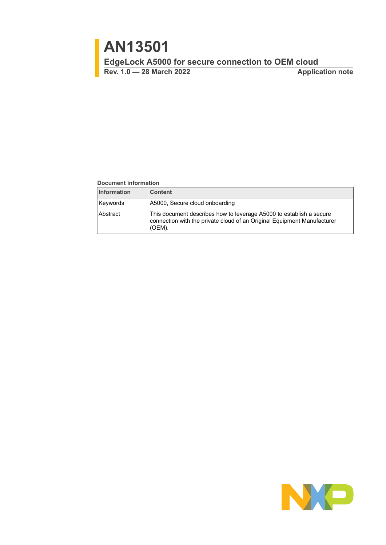**Rev. 1.0 — 28 March 2022 Application note**

#### **Document information**

| <b>Information</b> | <b>Content</b>                                                                                                                                           |
|--------------------|----------------------------------------------------------------------------------------------------------------------------------------------------------|
| Keywords           | A5000, Secure cloud onboarding                                                                                                                           |
| Abstract           | This document describes how to leverage A5000 to establish a secure<br>connection with the private cloud of an Original Equipment Manufacturer<br>(OEM). |

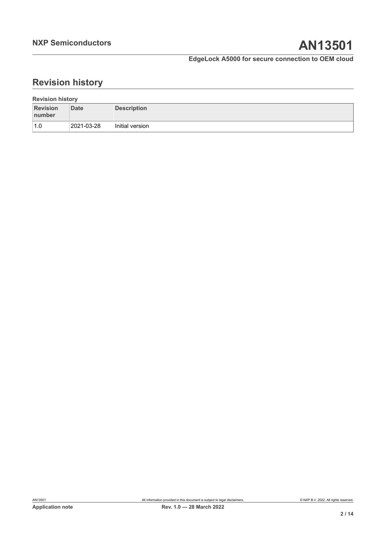# **Revision history**

| <b>Revision history</b>   |            |                 |  |  |  |
|---------------------------|------------|-----------------|--|--|--|
| <b>Revision</b><br>number | Date       | Description     |  |  |  |
| 1.0                       | 2021-03-28 | Initial version |  |  |  |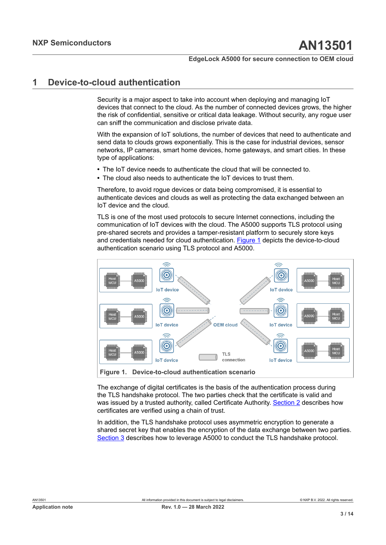# <span id="page-2-1"></span>**1 Device-to-cloud authentication**

Security is a major aspect to take into account when deploying and managing IoT devices that connect to the cloud. As the number of connected devices grows, the higher the risk of confidential, sensitive or critical data leakage. Without security, any rogue user can sniff the communication and disclose private data.

With the expansion of IoT solutions, the number of devices that need to authenticate and send data to clouds grows exponentially. This is the case for industrial devices, sensor networks, IP cameras, smart home devices, home gateways, and smart cities. In these type of applications:

- **•** The IoT device needs to authenticate the cloud that will be connected to.
- **•** The cloud also needs to authenticate the IoT devices to trust them.

Therefore, to avoid rogue devices or data being compromised, it is essential to authenticate devices and clouds as well as protecting the data exchanged between an IoT device and the cloud.

TLS is one of the most used protocols to secure Internet connections, including the communication of IoT devices with the cloud. The A5000 supports TLS protocol using pre-shared secrets and provides a tamper-resistant platform to securely store keys and credentials needed for cloud authentication. [Figure 1](#page-2-0) depicts the device-to-cloud authentication scenario using TLS protocol and A5000.

<span id="page-2-0"></span>

The exchange of digital certificates is the basis of the authentication process during the TLS handshake protocol. The two parties check that the certificate is valid and was issued by a trusted authority, called Certificate Authority. [Section 2](#page-3-0) describes how certificates are verified using a chain of trust.

In addition, the TLS handshake protocol uses asymmetric encryption to generate a shared secret key that enables the encryption of the data exchange between two parties. [Section 3](#page-5-0) describes how to leverage A5000 to conduct the TLS handshake protocol.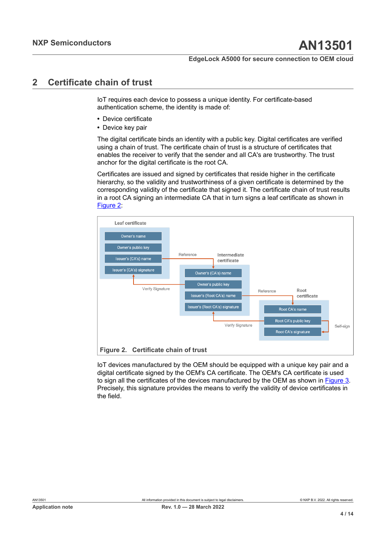# <span id="page-3-0"></span>**2 Certificate chain of trust**

IoT requires each device to possess a unique identity. For certificate-based authentication scheme, the identity is made of:

- **•** Device certificate
- **•** Device key pair

The digital certificate binds an identity with a public key. Digital certificates are verified using a chain of trust. The certificate chain of trust is a structure of certificates that enables the receiver to verify that the sender and all CA's are trustworthy. The trust anchor for the digital certificate is the root CA.

Certificates are issued and signed by certificates that reside higher in the certificate hierarchy, so the validity and trustworthiness of a given certificate is determined by the corresponding validity of the certificate that signed it. The certificate chain of trust results in a root CA signing an intermediate CA that in turn signs a leaf certificate as shown in [Figure 2:](#page-3-1)

<span id="page-3-1"></span>

IoT devices manufactured by the OEM should be equipped with a unique key pair and a digital certificate signed by the OEM's CA certificate. The OEM's CA certificate is used to sign all the certificates of the devices manufactured by the OEM as shown in [Figure 3](#page-4-0). Precisely, this signature provides the means to verify the validity of device certificates in the field.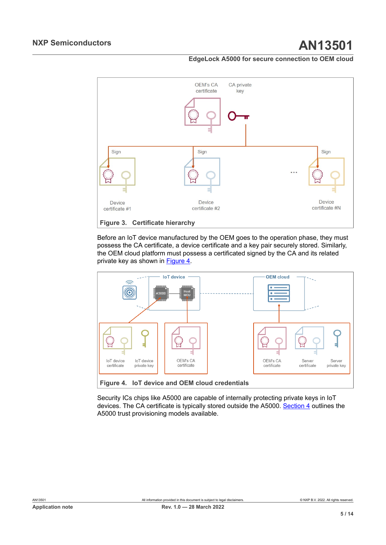<span id="page-4-0"></span>

Before an IoT device manufactured by the OEM goes to the operation phase, they must possess the CA certificate, a device certificate and a key pair securely stored. Similarly, the OEM cloud platform must possess a certificated signed by the CA and its related private key as shown in [Figure 4](#page-4-1).

<span id="page-4-1"></span>

Security ICs chips like A5000 are capable of internally protecting private keys in IoT devices. The CA certificate is typically stored outside the A5000. [Section 4](#page-9-0) outlines the A5000 trust provisioning models available.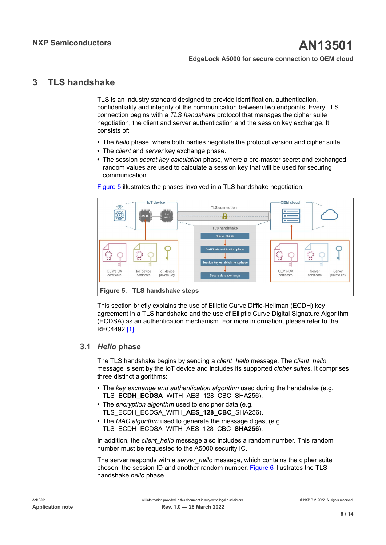# <span id="page-5-0"></span>**3 TLS handshake**

TLS is an industry standard designed to provide identification, authentication, confidentiality and integrity of the communication between two endpoints. Every TLS connection begins with a *TLS handshake* protocol that manages the cipher suite negotiation, the client and server authentication and the session key exchange. It consists of:

- **•** The *hello* phase, where both parties negotiate the protocol version and cipher suite.
- **•** The *client* and *server* key exchange phase.
- **•** The session *secret key calculation* phase, where a pre-master secret and exchanged random values are used to calculate a session key that will be used for securing communication.

<span id="page-5-1"></span>

[Figure 5](#page-5-1) illustrates the phases involved in a TLS handshake negotiation:

This section briefly explains the use of Elliptic Curve Diffie-Hellman (ECDH) key agreement in a TLS handshake and the use of Elliptic Curve Digital Signature Algorithm (ECDSA) as an authentication mechanism. For more information, please refer to the RFC4492 [\[1\].](#page-10-0)

### <span id="page-5-2"></span>**3.1** *Hello* **phase**

The TLS handshake begins by sending a *client\_hello* message. The *client\_hello* message is sent by the IoT device and includes its supported *cipher suites*. It comprises three distinct algorithms:

- **•** The *key exchange and authentication algorithm* used during the handshake (e.g. TLS **ECDH ECDSA** WITH AES 128 CBC SHA256).
- **•** The *encryption algorithm* used to encipher data (e.g. TLS\_ECDH\_ECDSA\_WITH\_AES\_128\_CBC\_SHA256).
- **•** The *MAC algorithm* used to generate the message digest (e.g. TLS\_ECDH\_ECDSA\_WITH\_AES\_128\_CBC\_**SHA256**).

In addition, the *client* hello message also includes a random number. This random number must be requested to the A5000 security IC.

The server responds with a *server\_hello* message, which contains the cipher suite chosen, the session ID and another random number. [Figure 6](#page-6-0) illustrates the TLS handshake *hello* phase.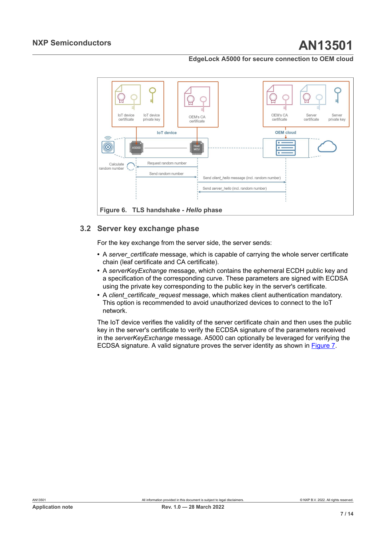<span id="page-6-0"></span>

### <span id="page-6-1"></span>**3.2 Server key exchange phase**

For the key exchange from the server side, the server sends:

- A server certificate message, which is capable of carrying the whole server certificate chain (leaf certificate and CA certificate).
- **•** A *serverKeyExchange* message, which contains the ephemeral ECDH public key and a specification of the corresponding curve. These parameters are signed with ECDSA using the private key corresponding to the public key in the server's certificate.
- **•** A *client\_certificate\_request* message, which makes client authentication mandatory. This option is recommended to avoid unauthorized devices to connect to the IoT network.

The IoT device verifies the validity of the server certificate chain and then uses the public key in the server's certificate to verify the ECDSA signature of the parameters received in the *serverKeyExchange* message. A5000 can optionally be leveraged for verifying the ECDSA signature. A valid signature proves the server identity as shown in [Figure 7](#page-7-0).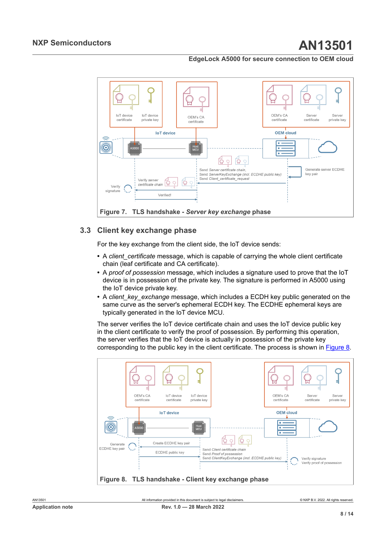<span id="page-7-0"></span>

## <span id="page-7-2"></span>**3.3 Client key exchange phase**

For the key exchange from the client side, the IoT device sends:

- A *client* certificate message, which is capable of carrying the whole client certificate chain (leaf certificate and CA certificate).
- **•** A *proof of possession* message, which includes a signature used to prove that the IoT device is in possession of the private key. The signature is performed in A5000 using the IoT device private key.
- **•** A *client\_key\_exchange* message, which includes a ECDH key public generated on the same curve as the server's ephemeral ECDH key. The ECDHE ephemeral keys are typically generated in the IoT device MCU.

The server verifies the IoT device certificate chain and uses the IoT device public key in the client certificate to verify the proof of possession. By performing this operation, the server verifies that the IoT device is actually in possession of the private key corresponding to the public key in the client certificate. The process is shown in [Figure 8](#page-7-1).

<span id="page-7-1"></span>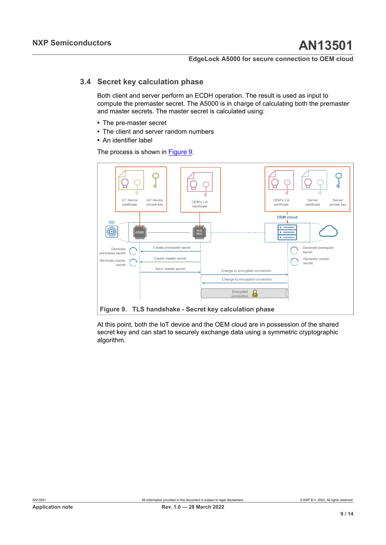### **3.4 Secret key calculation phase**

<span id="page-8-1"></span>Both client and server perform an ECDH operation. The result is used as input to compute the premaster secret. The A5000 is in charge of calculating both the premaster and master secrets. The master secret is calculated using:

- **•** The pre-master secret
- **•** The client and server random numbers
- **•** An identifier label

The process is shown in [Figure 9.](#page-8-0)

<span id="page-8-0"></span>

At this point, both the IoT device and the OEM cloud are in possession of the shared secret key and can start to securely exchange data using a symmetric cryptographic algorithm.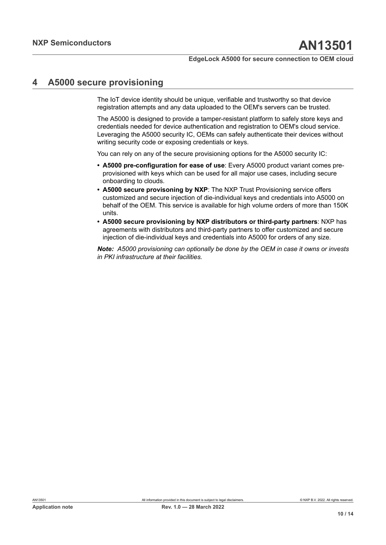# <span id="page-9-0"></span>**4 A5000 secure provisioning**

The IoT device identity should be unique, verifiable and trustworthy so that device registration attempts and any data uploaded to the OEM's servers can be trusted.

The A5000 is designed to provide a tamper-resistant platform to safely store keys and credentials needed for device authentication and registration to OEM's cloud service. Leveraging the A5000 security IC, OEMs can safely authenticate their devices without writing security code or exposing credentials or keys.

You can rely on any of the secure provisioning options for the A5000 security IC:

- **• A5000 pre-configuration for ease of use**: Every A5000 product variant comes preprovisioned with keys which can be used for all major use cases, including secure onboarding to clouds.
- **• A5000 secure provisoning by NXP**: The NXP Trust Provisioning service offers customized and secure injection of die-individual keys and credentials into A5000 on behalf of the OEM. This service is available for high volume orders of more than 150K units.
- **• A5000 secure provisioning by NXP distributors or third-party partners**: NXP has agreements with distributors and third-party partners to offer customized and secure injection of die-individual keys and credentials into A5000 for orders of any size.

*Note: A5000 provisioning can optionally be done by the OEM in case it owns or invests in PKI infrastructure at their facilities.*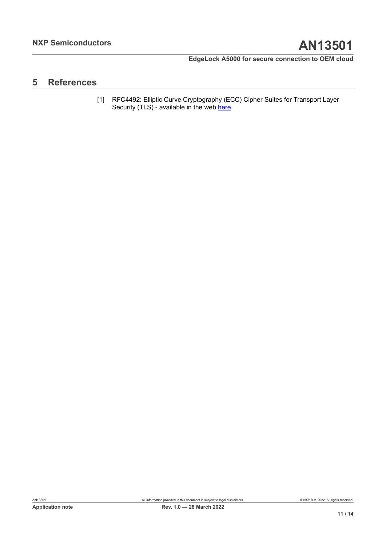# <span id="page-10-1"></span>**5 References**

<span id="page-10-0"></span>[1] RFC4492: Elliptic Curve Cryptography (ECC) Cipher Suites for Transport Layer Security (TLS) - available in the web [here](https://tools.ietf.org/html/rfc4492).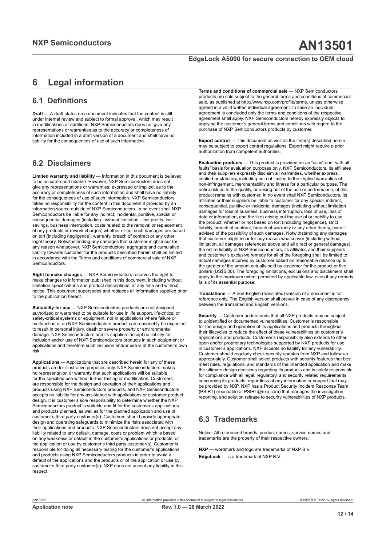# <span id="page-11-0"></span>**6 Legal information**

# **6.1 Definitions**

**Draft** — A draft status on a document indicates that the content is still under internal review and subject to formal approval, which may result in modifications or additions. NXP Semiconductors does not give any representations or warranties as to the accuracy or completeness of information included in a draft version of a document and shall have no liability for the consequences of use of such information.

## **6.2 Disclaimers**

**Limited warranty and liability** — Information in this document is believed to be accurate and reliable. However, NXP Semiconductors does not give any representations or warranties, expressed or implied, as to the accuracy or completeness of such information and shall have no liability for the consequences of use of such information. NXP Semiconductors takes no responsibility for the content in this document if provided by an information source outside of NXP Semiconductors. In no event shall NXP Semiconductors be liable for any indirect, incidental, punitive, special or consequential damages (including - without limitation - lost profits, lost savings, business interruption, costs related to the removal or replacement of any products or rework charges) whether or not such damages are based on tort (including negligence), warranty, breach of contract or any other legal theory. Notwithstanding any damages that customer might incur for any reason whatsoever, NXP Semiconductors' aggregate and cumulative liability towards customer for the products described herein shall be limited in accordance with the Terms and conditions of commercial sale of NXP Semiconductors.

**Right to make changes** — NXP Semiconductors reserves the right to make changes to information published in this document, including without limitation specifications and product descriptions, at any time and without notice. This document supersedes and replaces all information supplied prior to the publication hereof.

**Suitability for use** — NXP Semiconductors products are not designed, authorized or warranted to be suitable for use in life support, life-critical or safety-critical systems or equipment, nor in applications where failure or malfunction of an NXP Semiconductors product can reasonably be expected to result in personal injury, death or severe property or environmental damage. NXP Semiconductors and its suppliers accept no liability for inclusion and/or use of NXP Semiconductors products in such equipment or applications and therefore such inclusion and/or use is at the customer's own risk.

**Applications** — Applications that are described herein for any of these products are for illustrative purposes only. NXP Semiconductors makes no representation or warranty that such applications will be suitable for the specified use without further testing or modification. Customers are responsible for the design and operation of their applications and products using NXP Semiconductors products, and NXP Semiconductors accepts no liability for any assistance with applications or customer product design. It is customer's sole responsibility to determine whether the NXP Semiconductors product is suitable and fit for the customer's applications and products planned, as well as for the planned application and use of customer's third party customer(s). Customers should provide appropriate design and operating safeguards to minimize the risks associated with their applications and products. NXP Semiconductors does not accept any liability related to any default, damage, costs or problem which is based on any weakness or default in the customer's applications or products, or the application or use by customer's third party customer(s). Customer is responsible for doing all necessary testing for the customer's applications and products using NXP Semiconductors products in order to avoid a default of the applications and the products or of the application or use by customer's third party customer(s). NXP does not accept any liability in this respect.

**Terms and conditions of commercial sale** — NXP Semiconductors products are sold subject to the general terms and conditions of commercial sale, as published at http://www.nxp.com/profile/terms, unless otherwise agreed in a valid written individual agreement. In case an individual agreement is concluded only the terms and conditions of the respective agreement shall apply. NXP Semiconductors hereby expressly objects to applying the customer's general terms and conditions with regard to the purchase of NXP Semiconductors products by customer.

**Export control** — This document as well as the item(s) described herein may be subject to export control regulations. Export might require a prior authorization from competent authorities.

**Evaluation products** — This product is provided on an "as is" and "with all faults" basis for evaluation purposes only. NXP Semiconductors, its affiliates and their suppliers expressly disclaim all warranties, whether express, implied or statutory, including but not limited to the implied warranties of non-infringement, merchantability and fitness for a particular purpose. The entire risk as to the quality, or arising out of the use or performance, of this product remains with customer. In no event shall NXP Semiconductors, its affiliates or their suppliers be liable to customer for any special, indirect, consequential, punitive or incidental damages (including without limitation damages for loss of business, business interruption, loss of use, loss of data or information, and the like) arising out the use of or inability to use the product, whether or not based on tort (including negligence), strict liability, breach of contract, breach of warranty or any other theory, even if advised of the possibility of such damages. Notwithstanding any damages that customer might incur for any reason whatsoever (including without limitation, all damages referenced above and all direct or general damages), the entire liability of NXP Semiconductors, its affiliates and their suppliers and customer's exclusive remedy for all of the foregoing shall be limited to actual damages incurred by customer based on reasonable reliance up to the greater of the amount actually paid by customer for the product or five dollars (US\$5.00). The foregoing limitations, exclusions and disclaimers shall apply to the maximum extent permitted by applicable law, even if any remedy fails of its essential purpose.

**Translations** — A non-English (translated) version of a document is for reference only. The English version shall prevail in case of any discrepancy between the translated and English versions.

**Security** — Customer understands that all NXP products may be subject to unidentified or documented vulnerabilities. Customer is responsible for the design and operation of its applications and products throughout their lifecycles to reduce the effect of these vulnerabilities on customer's applications and products. Customer's responsibility also extends to other open and/or proprietary technologies supported by NXP products for use in customer's applications. NXP accepts no liability for any vulnerability. Customer should regularly check security updates from NXP and follow up appropriately. Customer shall select products with security features that best meet rules, regulations, and standards of the intended application and make the ultimate design decisions regarding its products and is solely responsible for compliance with all legal, regulatory, and security related requirements concerning its products, regardless of any information or support that may be provided by NXP. NXP has a Product Security Incident Response Team (PSIRT) (reachable at PSIRT@nxp.com) that manages the investigation, reporting, and solution release to security vulnerabilities of NXP products.

# **6.3 Trademarks**

Notice: All referenced brands, product names, service names and trademarks are the property of their respective owners.

**NXP** — wordmark and logo are trademarks of NXP B.V. **EdgeLock** — is a trademark of NXP B.V.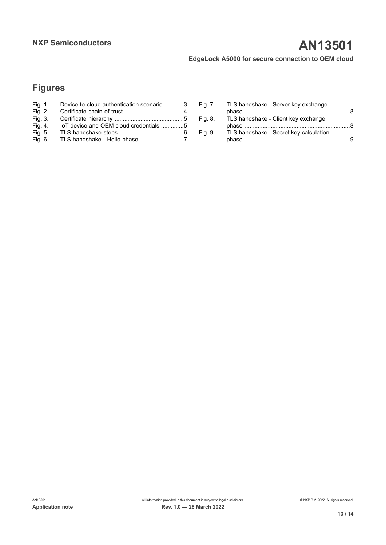# **Figures**

| Fig. 1. | Device-to-cloud authentication scenario 3 |
|---------|-------------------------------------------|
| Fig. 2. |                                           |
| Fig. 3. |                                           |
| Fig. 4. | loT device and OEM cloud credentials 5    |
| Fig. 5. |                                           |
| Fig. 6. | TLS handshake - Hello phase 7             |

| Fig. 7. | TLS handshake - Server key exchange    |     |
|---------|----------------------------------------|-----|
|         |                                        |     |
| Fig. 8. | TLS handshake - Client key exchange    |     |
|         |                                        |     |
| Fig. 9. | TLS handshake - Secret key calculation |     |
|         |                                        | . 9 |